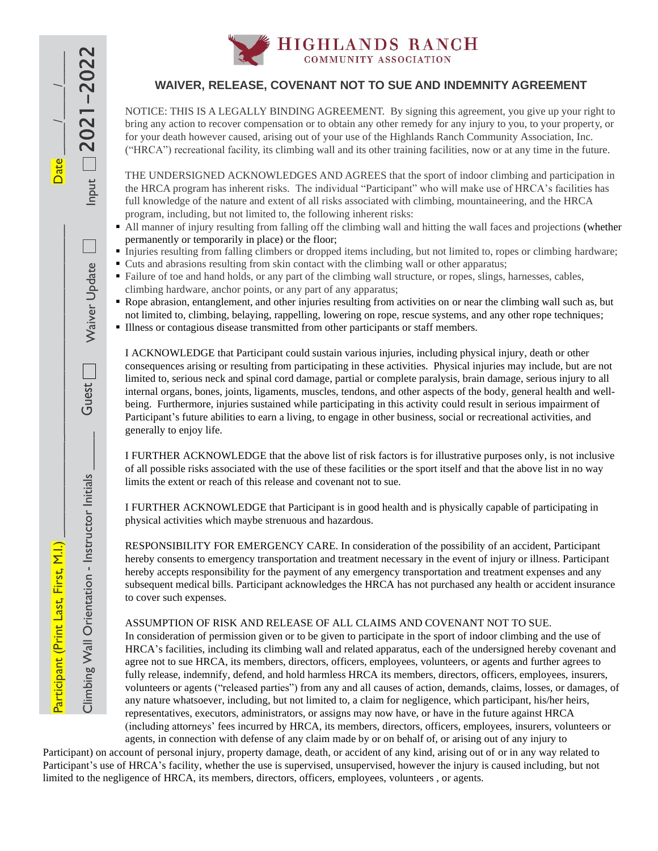

## **WAIVER, RELEASE, COVENANT NOT TO SUE AND INDEMNITY AGREEMENT**

NOTICE: THIS IS A LEGALLY BINDING AGREEMENT. By signing this agreement, you give up your right to bring any action to recover compensation or to obtain any other remedy for any injury to you, to your property, or for your death however caused, arising out of your use of the Highlands Ranch Community Association, Inc. ("HRCA") recreational facility, its climbing wall and its other training facilities, now or at any time in the future.

THE UNDERSIGNED ACKNOWLEDGES AND AGREES that the sport of indoor climbing and participation in the HRCA program has inherent risks. The individual "Participant" who will make use of HRCA's facilities has full knowledge of the nature and extent of all risks associated with climbing, mountaineering, and the HRCA program, including, but not limited to, the following inherent risks:

- All manner of injury resulting from falling off the climbing wall and hitting the wall faces and projections (whether permanently or temporarily in place) or the floor;
- Injuries resulting from falling climbers or dropped items including, but not limited to, ropes or climbing hardware;
- Cuts and abrasions resulting from skin contact with the climbing wall or other apparatus;
- Failure of toe and hand holds, or any part of the climbing wall structure, or ropes, slings, harnesses, cables, climbing hardware, anchor points, or any part of any apparatus;
- Rope abrasion, entanglement, and other injuries resulting from activities on or near the climbing wall such as, but not limited to, climbing, belaying, rappelling, lowering on rope, rescue systems, and any other rope techniques;
- Illness or contagious disease transmitted from other participants or staff members.

Participant (Print Last, First, M.I.) \_\_\_\_\_\_\_\_\_\_\_\_\_\_\_\_\_\_\_\_\_\_\_\_\_\_\_\_\_\_\_\_\_\_\_\_\_\_\_\_\_\_\_\_\_\_\_\_\_ Date \_\_\_\_\_/\_\_\_\_\_/\_\_\_\_\_

Climbing Wall Orientation - Instructor Initials  $\qquad \qquad \qquad$  Guest  $\qquad \qquad \qquad \qquad$  Waiver Update  $\qquad \qquad \qquad$  Input

Climbing Wall Orientation - Instructor Initials

Participant (Print Last, First, M.I.)

Guest

Waiver Update

Input  $\square$  2021

Date

-2022

I ACKNOWLEDGE that Participant could sustain various injuries, including physical injury, death or other consequences arising or resulting from participating in these activities. Physical injuries may include, but are not limited to, serious neck and spinal cord damage, partial or complete paralysis, brain damage, serious injury to all internal organs, bones, joints, ligaments, muscles, tendons, and other aspects of the body, general health and wellbeing. Furthermore, injuries sustained while participating in this activity could result in serious impairment of Participant's future abilities to earn a living, to engage in other business, social or recreational activities, and generally to enjoy life.

I FURTHER ACKNOWLEDGE that the above list of risk factors is for illustrative purposes only, is not inclusive of all possible risks associated with the use of these facilities or the sport itself and that the above list in no way limits the extent or reach of this release and covenant not to sue.

I FURTHER ACKNOWLEDGE that Participant is in good health and is physically capable of participating in physical activities which maybe strenuous and hazardous.

RESPONSIBILITY FOR EMERGENCY CARE. In consideration of the possibility of an accident, Participant hereby consents to emergency transportation and treatment necessary in the event of injury or illness. Participant hereby accepts responsibility for the payment of any emergency transportation and treatment expenses and any subsequent medical bills. Participant acknowledges the HRCA has not purchased any health or accident insurance to cover such expenses.

## ASSUMPTION OF RISK AND RELEASE OF ALL CLAIMS AND COVENANT NOT TO SUE.

In consideration of permission given or to be given to participate in the sport of indoor climbing and the use of HRCA's facilities, including its climbing wall and related apparatus, each of the undersigned hereby covenant and agree not to sue HRCA, its members, directors, officers, employees, volunteers, or agents and further agrees to fully release, indemnify, defend, and hold harmless HRCA its members, directors, officers, employees, insurers, volunteers or agents ("released parties") from any and all causes of action, demands, claims, losses, or damages, of any nature whatsoever, including, but not limited to, a claim for negligence, which participant, his/her heirs, representatives, executors, administrators, or assigns may now have, or have in the future against HRCA (including attorneys' fees incurred by HRCA, its members, directors, officers, employees, insurers, volunteers or agents, in connection with defense of any claim made by or on behalf of, or arising out of any injury to

Participant) on account of personal injury, property damage, death, or accident of any kind, arising out of or in any way related to Participant's use of HRCA's facility, whether the use is supervised, unsupervised, however the injury is caused including, but not limited to the negligence of HRCA, its members, directors, officers, employees, volunteers , or agents.